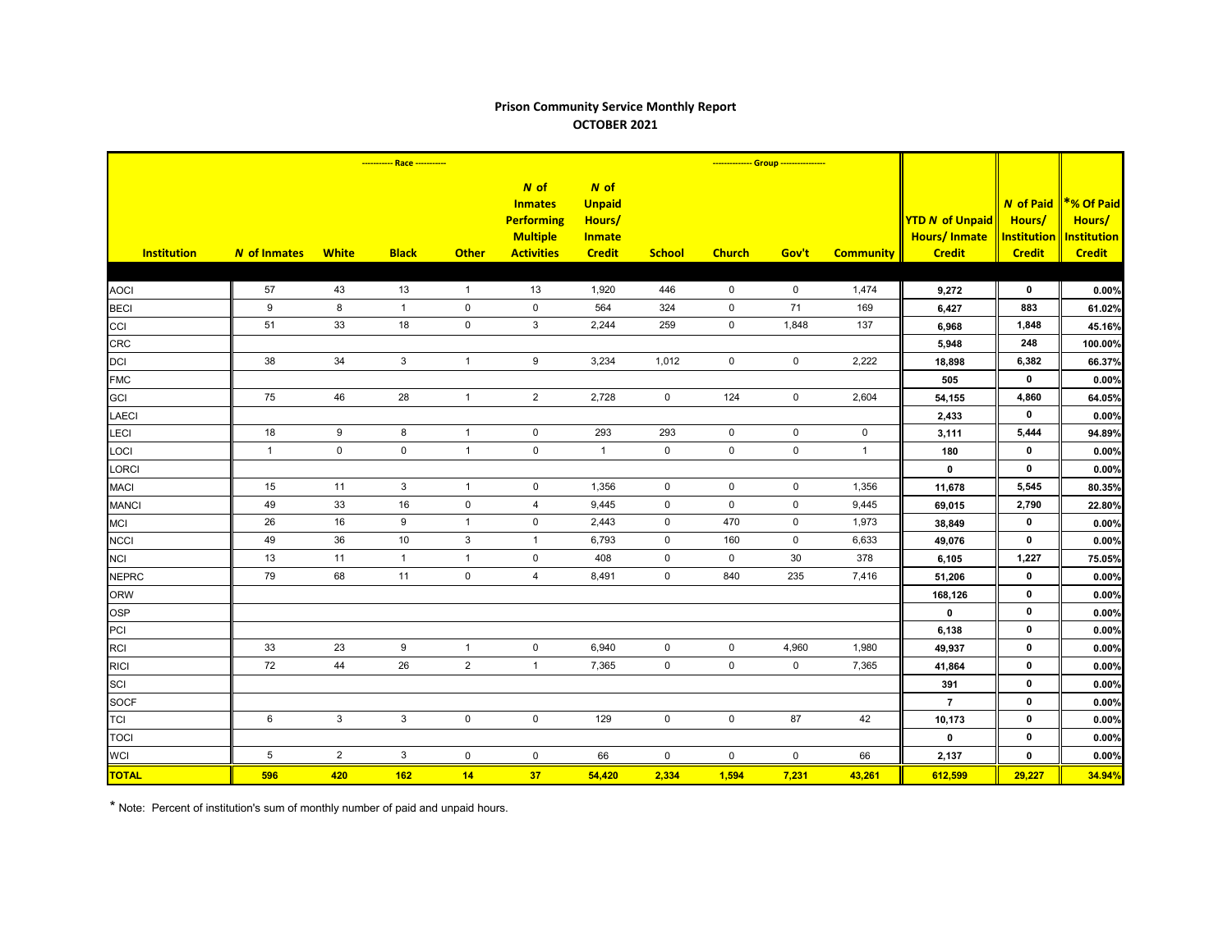## **Prison Community Service Monthly Report OCTOBER 2021**

|                    | ----------- Race ----------- |                     |                |                |                                                                                       |                                                                     |                     | -------------- Group ---------------- |             |                     |                                                                |                                                                   |                                                                    |
|--------------------|------------------------------|---------------------|----------------|----------------|---------------------------------------------------------------------------------------|---------------------------------------------------------------------|---------------------|---------------------------------------|-------------|---------------------|----------------------------------------------------------------|-------------------------------------------------------------------|--------------------------------------------------------------------|
| <b>Institution</b> | <b>N</b> of Inmates          | <b>White</b>        | <b>Black</b>   | <b>Other</b>   | $N$ of<br><b>Inmates</b><br><b>Performing</b><br><b>Multiple</b><br><b>Activities</b> | $N$ of<br><b>Unpaid</b><br>Hours/<br><b>Inmate</b><br><b>Credit</b> | <b>School</b>       | <b>Church</b>                         | Gov't       | <b>Community</b>    | <b>YTD N of Unpaid</b><br><b>Hours/Inmate</b><br><b>Credit</b> | <b>N</b> of Paid<br>Hours/<br><b>Institution</b><br><b>Credit</b> | <b>*% Of Paid</b><br>Hours/<br><b>Institution</b><br><b>Credit</b> |
|                    |                              |                     |                |                |                                                                                       |                                                                     |                     |                                       |             |                     |                                                                |                                                                   |                                                                    |
| <b>AOCI</b>        | 57                           | 43                  | 13             | $\overline{1}$ | 13                                                                                    | 1,920                                                               | 446                 | $\mathbf 0$                           | $\mathbf 0$ | 1,474               | 9,272                                                          | $\mathbf 0$                                                       | 0.00%                                                              |
| <b>BECI</b>        | 9                            | 8                   | $\mathbf{1}$   | $\pmb{0}$      | $\mathbf 0$                                                                           | 564                                                                 | 324                 | $\mathbf 0$                           | 71          | 169                 | 6,427                                                          | 883                                                               | 61.02%                                                             |
| CCI                | 51                           | 33                  | 18             | $\pmb{0}$      | 3                                                                                     | 2,244                                                               | 259                 | 0                                     | 1,848       | 137                 | 6,968                                                          | 1,848                                                             | 45.16%                                                             |
| <b>CRC</b>         |                              |                     |                |                |                                                                                       |                                                                     |                     |                                       |             |                     | 5,948                                                          | 248                                                               | 100.00%                                                            |
| <b>DCI</b>         | 38                           | 34                  | 3 <sup>1</sup> | $\mathbf{1}$   | 9                                                                                     | 3,234                                                               | 1,012               | $\mathbf 0$                           | $\mathsf 0$ | 2,222               | 18,898                                                         | 6,382                                                             | 66.37%                                                             |
| <b>FMC</b>         |                              |                     |                |                |                                                                                       |                                                                     |                     |                                       |             |                     | 505                                                            | $\mathbf 0$                                                       | 0.00%                                                              |
| GCI                | 75                           | 46                  | 28             | $\mathbf{1}$   | $\overline{2}$                                                                        | 2,728                                                               | $\mathbf 0$         | 124                                   | $\mathbf 0$ | 2,604               | 54,155                                                         | 4,860                                                             | 64.05%                                                             |
| <b>LAECI</b>       |                              |                     |                |                |                                                                                       |                                                                     |                     |                                       |             |                     | 2,433                                                          | $\mathbf 0$                                                       | 0.00%                                                              |
| LECI               | 18                           | 9                   | 8              | $\mathbf{1}$   | $\pmb{0}$                                                                             | 293                                                                 | 293                 | $\mathsf{O}\xspace$                   | $\pmb{0}$   | $\mathsf{O}\xspace$ | 3,111                                                          | 5,444                                                             | 94.89%                                                             |
| LOCI               | $\mathbf{1}$                 | $\mathsf{O}\xspace$ | $\mathsf 0$    | $\mathbf{1}$   | $\mathsf{O}\xspace$                                                                   | $\overline{1}$                                                      | $\mathsf{O}\xspace$ | $\mathsf 0$                           | $\mathbf 0$ | $\overline{1}$      | 180                                                            | $\mathbf 0$                                                       | 0.00%                                                              |
| <b>LORCI</b>       |                              |                     |                |                |                                                                                       |                                                                     |                     |                                       |             |                     | $\mathbf 0$                                                    | $\mathbf 0$                                                       | 0.00%                                                              |
| <b>MACI</b>        | 15                           | 11                  | $\mathbf{3}$   | $\mathbf{1}$   | $\mathbf 0$                                                                           | 1,356                                                               | $\mathbf 0$         | $\mathbf 0$                           | $\mathbf 0$ | 1,356               | 11,678                                                         | 5,545                                                             | 80.35%                                                             |
| <b>MANCI</b>       | 49                           | 33                  | 16             | $\pmb{0}$      | $\overline{4}$                                                                        | 9,445                                                               | $\mathbf 0$         | $\mathbf 0$                           | $\mathbf 0$ | 9,445               | 69,015                                                         | 2,790                                                             | 22.80%                                                             |
| <b>MCI</b>         | 26                           | 16                  | 9              | $\overline{1}$ | $\mathbf 0$                                                                           | 2,443                                                               | $\mathbf 0$         | 470                                   | 0           | 1,973               | 38,849                                                         | $\mathbf 0$                                                       | 0.00%                                                              |
| <b>NCCI</b>        | 49                           | 36                  | 10             | $\mathsf 3$    | $\mathbf{1}$                                                                          | 6,793                                                               | $\mathbf 0$         | 160                                   | $\mathbf 0$ | 6,633               | 49,076                                                         | $\mathbf 0$                                                       | 0.00%                                                              |
| <b>NCI</b>         | 13                           | 11                  | $\mathbf{1}$   | $\mathbf{1}$   | $\mathsf{O}\xspace$                                                                   | 408                                                                 | $\mathbf 0$         | $\mathbf 0$                           | 30          | 378                 | 6,105                                                          | 1,227                                                             | 75.05%                                                             |
| <b>NEPRC</b>       | 79                           | 68                  | 11             | $\pmb{0}$      | $\overline{4}$                                                                        | 8,491                                                               | $\mathsf{O}$        | 840                                   | 235         | 7,416               | 51,206                                                         | $\mathbf 0$                                                       | 0.00%                                                              |
| <b>ORW</b>         |                              |                     |                |                |                                                                                       |                                                                     |                     |                                       |             |                     | 168,126                                                        | $\mathbf 0$                                                       | 0.00%                                                              |
| <b>OSP</b>         |                              |                     |                |                |                                                                                       |                                                                     |                     |                                       |             |                     | $\mathbf 0$                                                    | $\mathbf 0$                                                       | 0.00%                                                              |
| PCI                |                              |                     |                |                |                                                                                       |                                                                     |                     |                                       |             |                     | 6,138                                                          | $\mathbf 0$                                                       | 0.00%                                                              |
| <b>RCI</b>         | 33                           | 23                  | 9              | $\mathbf{1}$   | $\mathbf 0$                                                                           | 6,940                                                               | $\mathbf 0$         | $\mathbf 0$                           | 4,960       | 1,980               | 49,937                                                         | $\mathbf 0$                                                       | 0.00%                                                              |
| <b>RICI</b>        | 72                           | 44                  | 26             | $\overline{2}$ | $\mathbf{1}$                                                                          | 7,365                                                               | $\mathsf 0$         | $\mathbf 0$                           | $\mathbf 0$ | 7,365               | 41,864                                                         | $\mathbf 0$                                                       | 0.00%                                                              |
| SCI                |                              |                     |                |                |                                                                                       |                                                                     |                     |                                       |             |                     | 391                                                            | $\mathbf 0$                                                       | 0.00%                                                              |
| <b>SOCF</b>        |                              |                     |                |                |                                                                                       |                                                                     |                     |                                       |             |                     | $\overline{7}$                                                 | $\mathbf 0$                                                       | 0.00%                                                              |
| <b>TCI</b>         | 6                            | $\mathbf{3}$        | $\mathbf{3}$   | $\mathbf 0$    | $\mathbf 0$                                                                           | 129                                                                 | $\mathbf 0$         | $\mathbf 0$                           | 87          | 42                  | 10,173                                                         | 0                                                                 | 0.00%                                                              |
| <b>TOCI</b>        |                              |                     |                |                |                                                                                       |                                                                     |                     |                                       |             |                     | $\mathbf 0$                                                    | 0                                                                 | 0.00%                                                              |
| <b>WCI</b>         | $\,$ 5 $\,$                  | $\overline{2}$      | $\mathbf{3}$   | $\pmb{0}$      | $\mathbf 0$                                                                           | 66                                                                  | $\mathsf{O}\xspace$ | $\mathbf 0$                           | $\mathbf 0$ | 66                  | 2,137                                                          | $\mathbf 0$                                                       | 0.00%                                                              |
| <b>TOTAL</b>       | 596                          | 420                 | 162            | 14             | 37                                                                                    | 54,420                                                              | 2,334               | 1,594                                 | 7,231       | 43,261              | 612,599                                                        | 29,227                                                            | 34.94%                                                             |

\* Note: Percent of institution's sum of monthly number of paid and unpaid hours.